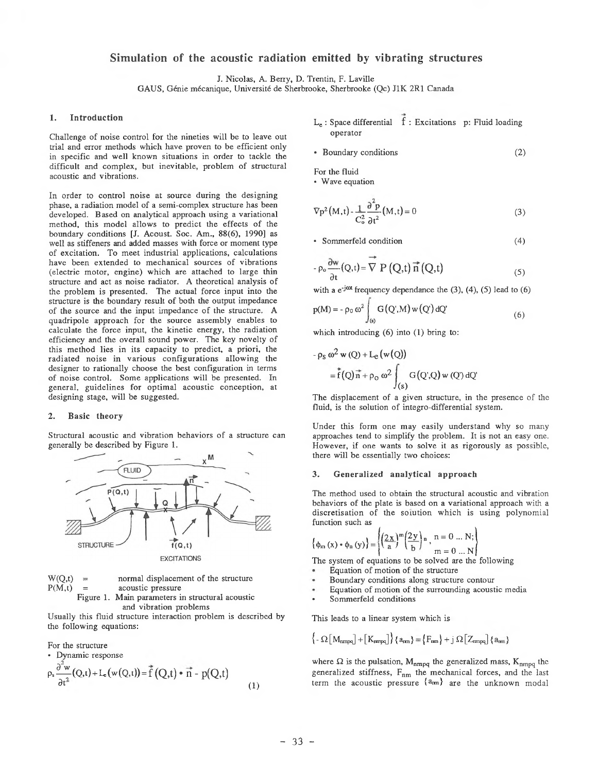# **Simulation of the acoustic radiation emitted by vibrating structures**

J. Nicolas, A. Berry, D. Trentin, F. Laville

GAUS, Génie mécanique, Université de Sherbrooke, Sherbrooke (Qc) J1K 2R1 Canada

### **1. Introduction**

Challenge of noise control for the nineties will be to leave out trial and error methods which have proven to be efficient only in specific and well known situations in order to tackle the difficult and complex, but inevitable, problem of structural acoustic and vibrations.

In order to control noise at source during the designing phase, a radiation model of a semi-complex structure has been developed. Based on analytical approach using a variational method, this model allows to predict the effects of the boundary conditions [J. Acoust. Soc. Am., 88(6), 1990] as well as stiffeners and added masses with force or moment type of excitation. To meet industrial applications, calculations have been extended to mechanical sources of vibrations (electric motor, engine) which are attached to large thin structure and act as noise radiator. A theoretical analysis of the problem is presented. The actual force input into the structure is the boundary result of both the output impedance of the source and the input impedance of the structure. A quadripole approach for the source assembly enables to calculate the force input, the kinetic energy, the radiation efficiency and the overall sound power. The key novelty of this method lies in its capacity to predict, a priori, the radiated noise in various configurations allowing the designer to rationally choose the best configuration in terms of noise control. Some applications will be presented. In general, guidelines for optimal acoustic conception, at designing stage, will be suggested.

#### **2. Basic theory**

Structural acoustic and vibration behaviors of a structure can generally be described by Figure 1.



 $W(Q,t)$  = normal displacement of the structure  $P(M,t)$  = acoustic pressure Figure 1. Main parameters in structural acoustic and vibration problems

Usually this fluid structure interaction problem is described by the following equations:

For the structure

• Dynamic response  

$$
\rho_s \frac{\partial^2 w}{\partial t^2} (Q,t) + L_e(w(Q,t)) = \vec{f}(Q,t) \cdot \vec{n} - p(Q,t)
$$
(1)

- Le : Space differential f : Excitations p: Fluid loading operator
- Boundary conditions (2)

For the fluid

• Wave equation

$$
\nabla p^2 \left( M, t \right) \cdot \frac{1}{C_o^2} \frac{\partial^2 p}{\partial t^2} \left( M, t \right) = 0 \tag{3}
$$

• Sommerfeld condition (4)

$$
- \rho_o \frac{\partial w}{\partial t} (Q, t) = \nabla P (Q, t) \vec{n} (Q, t)
$$
 (5)

with a  $e^{-j\omega t}$  frequency dependance the (3), (4), (5) lead to (6)

$$
p(M) = -\rho_0 \omega^2 \int_{(s)} G(Q',M) w(Q') dQ'
$$
 (6)

which introducing (6) into (1) bring to:

$$
- \rho_S \omega^2 w(Q) + L_{\mathbf{c}}(w(Q))
$$
  
=  $f(Q)\vec{n} + \rho_O \omega^2 \int_{(S)} G(Q',Q) w(Q') dQ'$ 

The displacement of a given structure, in the presence of the fluid, is the solution of integro-differential system.

Under this form one may easily understand why so many approaches tend to simplify the problem. It is not an easy one. However, if one wants to solve it as rigorously as possible, there will be essentially two choices:

#### **3. Generalized analytical approach**

The method used to obtain the structural acoustic and vibration behaviors of the plate is based on a variational approach with a discretisation of the solution which is using polynomial function such as

$$
\left\{\phi_m(x)\cdot\phi_n(y)\right\} = \left\{\left(\frac{2x}{a}\right)^m\left(\frac{2y}{b}\right)n, n = 0 ... N;\right.\newline m = 0 ... N
$$

The system of equations to be solved are the following

- Equation of motion of the structure
- Boundary conditions along structure contour
- Equation of motion of the surrounding acoustic media
- Sommerfeld conditions

This leads to a linear system which is

$$
\left\{ -\Omega \left[ \left. M_{\text{rumpq}} \right] + \left[ \left. K_{\text{rumpq}} \right] \right\} \right\} \left\{ a_{\text{rnn}} \right\} = \left\{ F_{\text{rnn}} \right\} + j \Omega \left[ \left. Z_{\text{rumpq}} \right] \right\} \left\{ a_{\text{rnn}} \right\}
$$

where  $\Omega$  is the pulsation,  $M_{nmpq}$  the generalized mass,  $K_{nmpq}$  the generalized stiffness,  $F_{nm}$  the mechanical forces, and the last term the acoustic pressure  $\{a_{mn}\}\$  are the unknown modal